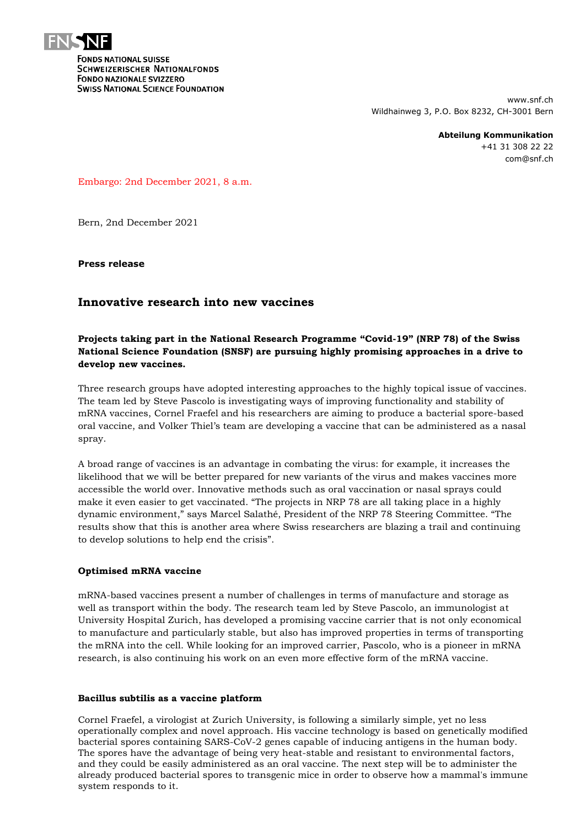

**FONDS NATIONAL SUISSE SCHWEIZERISCHER NATIONALFONDS FONDO NAZIONALE SVIZZERO SWISS NATIONAL SCIENCE FOUNDATION** 

> www.snf.ch Wildhainweg 3, P.O. Box 8232, CH-3001 Bern

> > **Abteilung Kommunikation** +41 31 308 22 22 com@snf.ch

Embargo: 2nd December 2021, 8 a.m.

Bern, 2nd December 2021

**Press release**

# **Innovative research into new vaccines**

# **Projects taking part in the National Research Programme "Covid-19" (NRP 78) of the Swiss National Science Foundation (SNSF) are pursuing highly promising approaches in a drive to develop new vaccines.**

Three research groups have adopted interesting approaches to the highly topical issue of vaccines. The team led by Steve Pascolo is investigating ways of improving functionality and stability of mRNA vaccines, Cornel Fraefel and his researchers are aiming to produce a bacterial spore-based oral vaccine, and Volker Thiel's team are developing a vaccine that can be administered as a nasal spray.

A broad range of vaccines is an advantage in combating the virus: for example, it increases the likelihood that we will be better prepared for new variants of the virus and makes vaccines more accessible the world over. Innovative methods such as oral vaccination or nasal sprays could make it even easier to get vaccinated. "The projects in NRP 78 are all taking place in a highly dynamic environment," says Marcel Salathé, President of the NRP 78 Steering Committee. "The results show that this is another area where Swiss researchers are blazing a trail and continuing to develop solutions to help end the crisis".

## **Optimised mRNA vaccine**

mRNA-based vaccines present a number of challenges in terms of manufacture and storage as well as transport within the body. The research team led by Steve Pascolo, an immunologist at University Hospital Zurich, has developed a promising vaccine carrier that is not only economical to manufacture and particularly stable, but also has improved properties in terms of transporting the mRNA into the cell. While looking for an improved carrier, Pascolo, who is a pioneer in mRNA research, is also continuing his work on an even more effective form of the mRNA vaccine.

## **Bacillus subtilis as a vaccine platform**

Cornel Fraefel, a virologist at Zurich University, is following a similarly simple, yet no less operationally complex and novel approach. His vaccine technology is based on genetically modified bacterial spores containing SARS-CoV-2 genes capable of inducing antigens in the human body. The spores have the advantage of being very heat-stable and resistant to environmental factors, and they could be easily administered as an oral vaccine. The next step will be to administer the already produced bacterial spores to transgenic mice in order to observe how a mammal's immune system responds to it.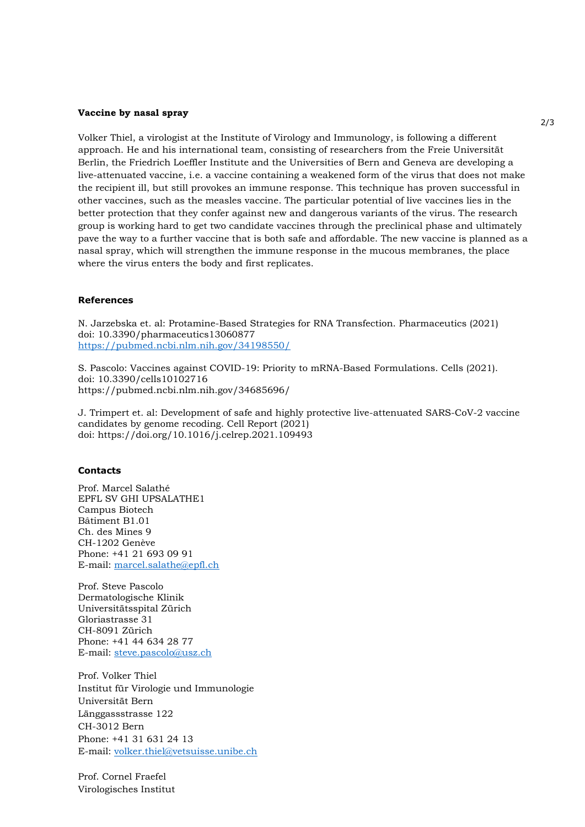### **Vaccine by nasal spray**

Volker Thiel, a virologist at the Institute of Virology and Immunology, is following a different approach. He and his international team, consisting of researchers from the Freie Universität Berlin, the Friedrich Loeffler Institute and the Universities of Bern and Geneva are developing a live-attenuated vaccine, i.e. a vaccine containing a weakened form of the virus that does not make the recipient ill, but still provokes an immune response. This technique has proven successful in other vaccines, such as the measles vaccine. The particular potential of live vaccines lies in the better protection that they confer against new and dangerous variants of the virus. The research group is working hard to get two candidate vaccines through the preclinical phase and ultimately pave the way to a further vaccine that is both safe and affordable. The new vaccine is planned as a nasal spray, which will strengthen the immune response in the mucous membranes, the place where the virus enters the body and first replicates.

### **References**

N. Jarzebska et. al: Protamine-Based Strategies for RNA Transfection. Pharmaceutics (2021) doi: 10.3390/pharmaceutics13060877 <https://pubmed.ncbi.nlm.nih.gov/34198550/>

S. Pascolo: Vaccines against COVID-19: Priority to mRNA-Based Formulations. Cells (2021). doi: 10.3390/cells10102716 https://pubmed.ncbi.nlm.nih.gov/34685696/

J. Trimpert et. al: Development of safe and highly protective live-attenuated SARS-CoV-2 vaccine candidates by genome recoding. Cell Report (2021) doi:<https://doi.org/10.1016/j.celrep.2021.109493>

#### **Contacts**

Prof. Marcel Salathé EPFL SV GHI UPSALATHE1 Campus Biotech Bâtiment B1.01 Ch. des Mines 9 CH-1202 Genève Phone: +41 21 693 09 91 E-mail: [marcel.salathe@epfl.ch](mailto:marcel.salathe@epfl.ch)

Prof. Steve Pascolo Dermatologische Klinik Universitätsspital Zürich Gloriastrasse 31 CH-8091 Zürich Phone: +41 44 634 28 77 E-mail: [steve.pascolo@usz.ch](mailto:steve.pascolo@usz.ch)

Prof. Volker Thiel Institut für Virologie und Immunologie Universität Bern Länggassstrasse 122 CH-3012 Bern Phone: +41 31 631 24 13 E-mail: [volker.thiel@vetsuisse.unibe.ch](mailto:volker.thiel@vetsuisse.unibe.ch)

Prof. Cornel Fraefel Virologisches Institut